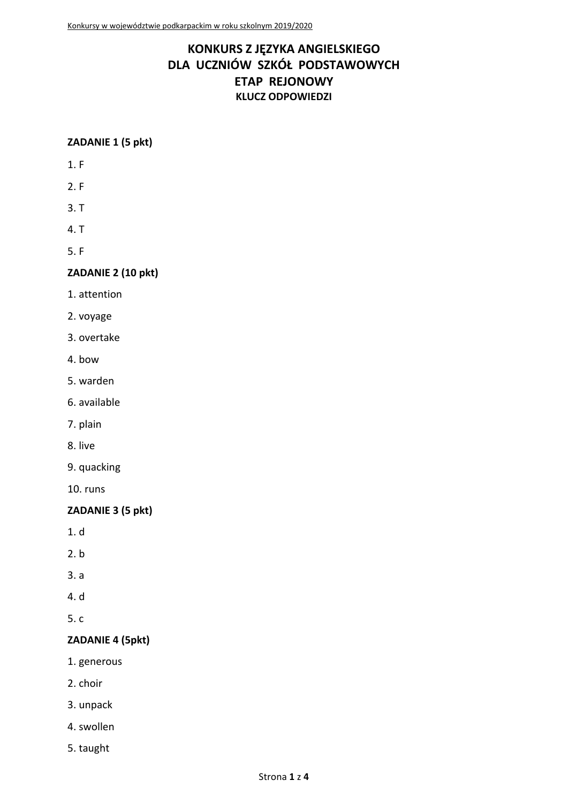# **KONKURS Z JĘZYKA ANGIELSKIEGO DLA UCZNIÓW SZKÓŁ PODSTAWOWYCH ETAP REJONOWY KLUCZ ODPOWIEDZI**

#### **ZADANIE 1 (5 pkt)**

- 1. F
- 2. F
- 3. T
- 4. T
- 5. F

#### **ZADANIE 2 (10 pkt)**

- 1. attention
- 2. voyage
- 3. overtake
- 4. bow
- 5. warden
- 6. available
- 7. plain
- 8. live
- 9. quacking
- 10. runs

#### **ZADANIE 3 (5 pkt)**

- 1. d
- 2. b
- 3. a
- 4. d
- 5. c

#### **ZADANIE 4 (5pkt)**

- 1. generous
- 2. choir
- 3. unpack
- 4. swollen
- 5. taught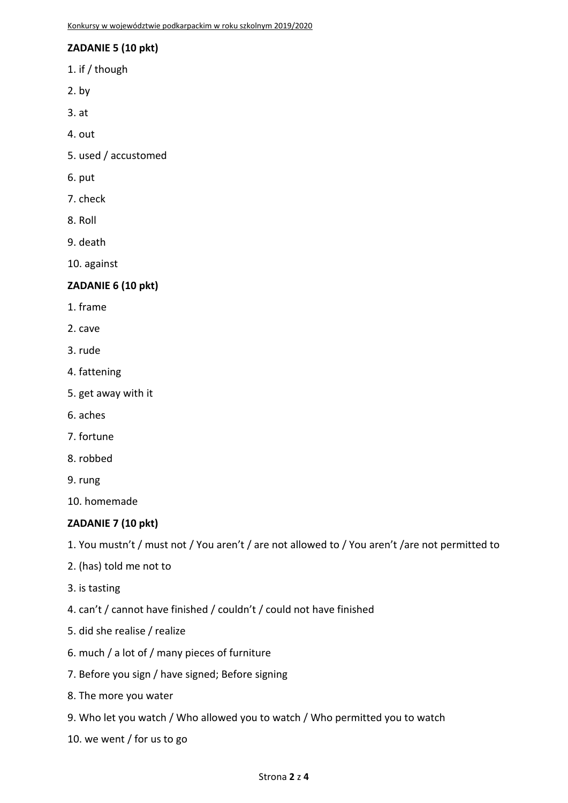# **ZADANIE 5 (10 pkt)**

- 1. if / though
- $2.$  by
- 3. at
- 4. out
- 5. used / accustomed
- 6. put
- 7. check
- 8. Roll
- 9. death
- 10. against

#### **ZADANIE 6 (10 pkt)**

- 1. frame
- 2. cave
- 3. rude
- 4. fattening
- 5. get away with it
- 6. aches
- 7. fortune
- 8. robbed
- 9. rung

10. homemade

#### **ZADANIE 7 (10 pkt)**

1. You mustn't / must not / You aren't / are not allowed to / You aren't /are not permitted to

- 2. (has) told me not to
- 3. is tasting
- 4. can't / cannot have finished / couldn't / could not have finished
- 5. did she realise / realize
- 6. much / a lot of / many pieces of furniture
- 7. Before you sign / have signed; Before signing
- 8. The more you water
- 9. Who let you watch / Who allowed you to watch / Who permitted you to watch
- 10. we went / for us to go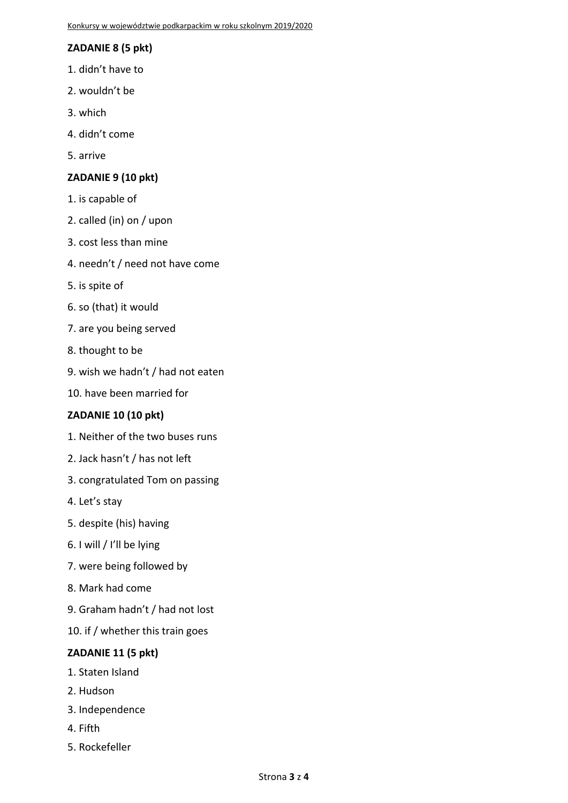# **ZADANIE 8 (5 pkt)**

- 1. didn't have to
- 2. wouldn't be
- 3. which
- 4. didn't come
- 5. arrive

# **ZADANIE 9 (10 pkt)**

- 1. is capable of
- 2. called (in) on / upon
- 3. cost less than mine
- 4. needn't / need not have come
- 5. is spite of
- 6. so (that) it would
- 7. are you being served
- 8. thought to be
- 9. wish we hadn't / had not eaten
- 10. have been married for

#### **ZADANIE 10 (10 pkt)**

- 1. Neither of the two buses runs
- 2. Jack hasn't / has not left
- 3. congratulated Tom on passing
- 4. Let's stay
- 5. despite (his) having
- 6. I will / I'll be lying
- 7. were being followed by
- 8. Mark had come
- 9. Graham hadn't / had not lost
- 10. if / whether this train goes

#### **ZADANIE 11 (5 pkt)**

- 1. Staten Island
- 2. Hudson
- 3. Independence
- 4. Fifth
- 5. Rockefeller